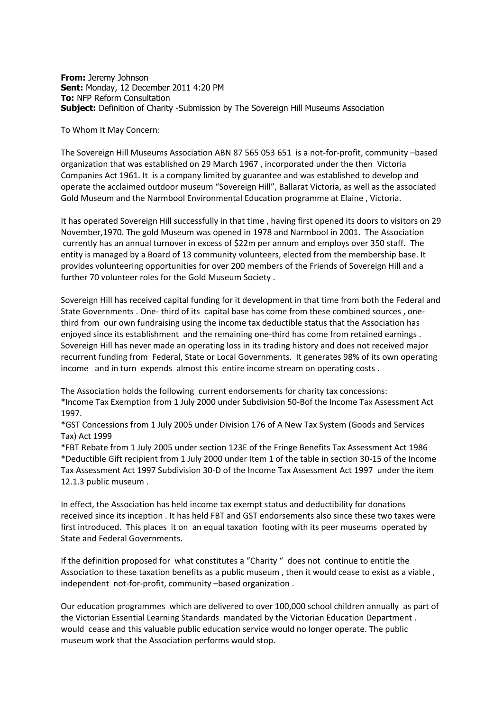**From:** Jeremy Johnson **Sent:** Monday, 12 December 2011 4:20 PM **To:** NFP Reform Consultation **Subject:** Definition of Charity -Submission by The Sovereign Hill Museums Association

To Whom It May Concern:

The Sovereign Hill Museums Association ABN 87 565 053 651 is a not-for-profit, community –based organization that was established on 29 March 1967 , incorporated under the then Victoria Companies Act 1961. It is a company limited by guarantee and was established to develop and operate the acclaimed outdoor museum "Sovereign Hill", Ballarat Victoria, as well as the associated Gold Museum and the Narmbool Environmental Education programme at Elaine , Victoria.

It has operated Sovereign Hill successfully in that time , having first opened its doors to visitors on 29 November,1970. The gold Museum was opened in 1978 and Narmbool in 2001. The Association currently has an annual turnover in excess of \$22m per annum and employs over 350 staff. The entity is managed by a Board of 13 community volunteers, elected from the membership base. It provides volunteering opportunities for over 200 members of the Friends of Sovereign Hill and a further 70 volunteer roles for the Gold Museum Society .

Sovereign Hill has received capital funding for it development in that time from both the Federal and State Governments . One- third of its capital base has come from these combined sources , onethird from our own fundraising using the income tax deductible status that the Association has enjoyed since its establishment and the remaining one-third has come from retained earnings . Sovereign Hill has never made an operating loss in its trading history and does not received major recurrent funding from Federal, State or Local Governments. It generates 98% of its own operating income and in turn expends almost this entire income stream on operating costs .

The Association holds the following current endorsements for charity tax concessions: \*Income Tax Exemption from 1 July 2000 under Subdivision 50-Bof the Income Tax Assessment Act 1997.

\*GST Concessions from 1 July 2005 under Division 176 of A New Tax System (Goods and Services Tax) Act 1999

\*FBT Rebate from 1 July 2005 under section 123E of the Fringe Benefits Tax Assessment Act 1986 \*Deductible Gift recipient from 1 July 2000 under Item 1 of the table in section 30-15 of the Income Tax Assessment Act 1997 Subdivision 30-D of the Income Tax Assessment Act 1997 under the item 12.1.3 public museum .

In effect, the Association has held income tax exempt status and deductibility for donations received since its inception . It has held FBT and GST endorsements also since these two taxes were first introduced. This places it on an equal taxation footing with its peer museums operated by State and Federal Governments.

If the definition proposed for what constitutes a "Charity " does not continue to entitle the Association to these taxation benefits as a public museum , then it would cease to exist as a viable , independent not-for-profit, community –based organization .

Our education programmes which are delivered to over 100,000 school children annually as part of the Victorian Essential Learning Standards mandated by the Victorian Education Department . would cease and this valuable public education service would no longer operate. The public museum work that the Association performs would stop.